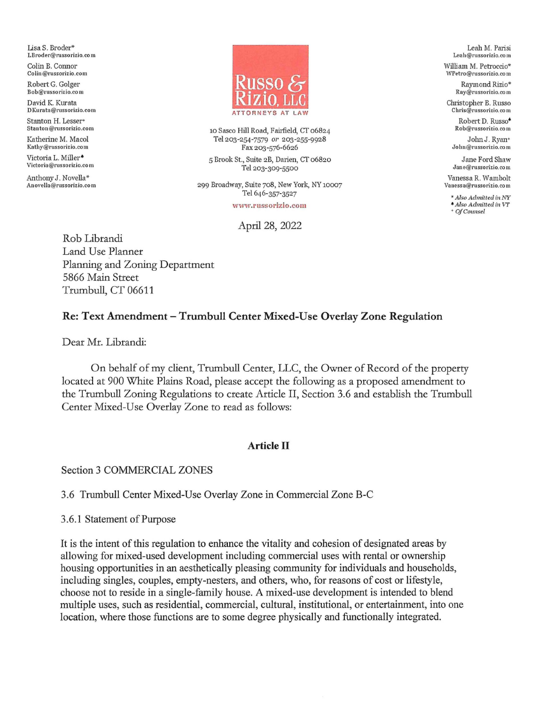Lisa S. Broder\* LBroder@russorizio.co m

Colin B. Connor Colin@russorizio.com

Robert G. Golger Bob@russorizio.co m

David K. Kurata **D Kurata@russorizio.co m** 

Stanton H. Lesser+<br>Stanton@russorizio.com

Katherine M. Macol Kathy@russorizio.com

Victoria L. Miller<sup>\*</sup> **Victoria@russorizio.co m** 

Anthony J. Novella\* Anovella@russorizio.co m



10 Sasco Hill Road, Fairfield, CT 06824 Tel 203-254-7579 *or* 203-255-9928 Fax 203-576-6626

5 Brook St., Suite 2B, Daiien, CT 06820 Tel 203-309-5500

299 Broadway, Suite 708, New York, NY 10007 Tel 646-357-3527

**www.russorizio.com** 

#### April 28, 2022

Rob Librandi Land Use Planner Planning and Zoning Department 5866 Main Street Trumbull, CT 06611

Leah M. Parisi **Leah@russorizio.co m** 

William M. Petroccio\* WPetro@russorizio.co m

> Raymond Rizio\* Ray@russorizio.co m

Christopher B. Russo **Chris@russorizio.co m** 

> Robert D. Russo• **Rob@russorizio.co m**  JohnJ. Rvan•

 $John@russorizio.co m$ 

Jane Ford Shaw **Jan e@russorizio.co m** 

Vanessa R. Wambolt **Vanessa@russorizio.co m** 

• *Also Admitted* in *Nl:"*   $*$  *Also Admitted in VT* + *OJCounsel* 

## **Re: Text Amendment-Trumbull Center Mixed-Use Overlay Zone Regulation**

Dear Mr. Librandi:

On behalf of my client, Tiumbull Center, LLC, the Owner of Record of the property located at 900 White Plains Road, please accept the following as a proposed amendment to the Trumbull Zoning Regulations to create Article II, Section 3.6 and establish the Trumbull Center Mixed-Use Overlay Zone to read as follows:

#### **Article II**

Section 3 COMMERCIAL ZONES

3.6 Trumbull Center Mixed-Use Overlay Zone in Commercial Zone B-C

3.6.1 Statement of Purpose

It is the intent of this regulation to enhance the vitality and cohesion of designated areas by allowing for mixed-used development including commercial uses with rental or ownership housing opportunities in an aesthetically pleasing community for individuals and households, including singles, couples, empty-nesters, and others, who, for reasons of cost or lifestyle, choose not to reside in a single-family house. A mixed-use development is intended to blend multiple uses, such as residential, commercial, cultural, institutional, or entertainment, into one location, where those functions are to some degree physically and functionally integrated.